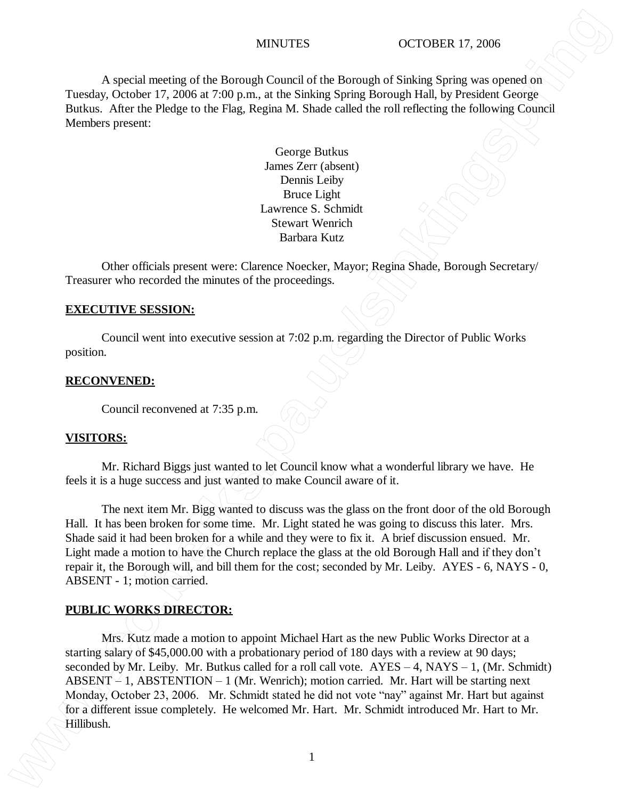A special meeting of the Borough Council of the Borough of Sinking Spring was opened on Tuesday, October 17, 2006 at 7:00 p.m., at the Sinking Spring Borough Hall, by President George Butkus. After the Pledge to the Flag, Regina M. Shade called the roll reflecting the following Council Members present:

> George Butkus James Zerr (absent) Dennis Leiby Bruce Light Lawrence S. Schmidt Stewart Wenrich Barbara Kutz

Other officials present were: Clarence Noecker, Mayor; Regina Shade, Borough Secretary/ Treasurer who recorded the minutes of the proceedings.

### **EXECUTIVE SESSION:**

Council went into executive session at 7:02 p.m. regarding the Director of Public Works position.

### **RECONVENED:**

Council reconvened at 7:35 p.m.

## **VISITORS:**

Mr. Richard Biggs just wanted to let Council know what a wonderful library we have. He feels it is a huge success and just wanted to make Council aware of it.

The next item Mr. Bigg wanted to discuss was the glass on the front door of the old Borough Hall. It has been broken for some time. Mr. Light stated he was going to discuss this later. Mrs. Shade said it had been broken for a while and they were to fix it. A brief discussion ensued. Mr. Light made a motion to have the Church replace the glass at the old Borough Hall and if they don't repair it, the Borough will, and bill them for the cost; seconded by Mr. Leiby. AYES - 6, NAYS - 0, ABSENT - 1; motion carried.

## **PUBLIC WORKS DIRECTOR:**

Mrs. Kutz made a motion to appoint Michael Hart as the new Public Works Director at a starting salary of \$45,000.00 with a probationary period of 180 days with a review at 90 days; seconded by Mr. Leiby. Mr. Butkus called for a roll call vote.  $AYES - 4$ ,  $NAYS - 1$ ,  $(Mr. Schmidt)$ ABSENT  $\leq$  1, ABSTENTION – 1 (Mr. Wenrich); motion carried. Mr. Hart will be starting next Monday, October 23, 2006. Mr. Schmidt stated he did not vote "nay" against Mr. Hart but against for a different issue completely. He welcomed Mr. Hart. Mr. Schmidt introduced Mr. Hart to Mr. MYGUTES (CTOSER 17.3006)<br>
A special meeting of the Borough, Control of the Borough of Sixking Spring towa control of Sixking Spring towards of Control 17.3006 at 320 p.m., at the Similard Spring Hornal in Lip Jewislan (Gr

1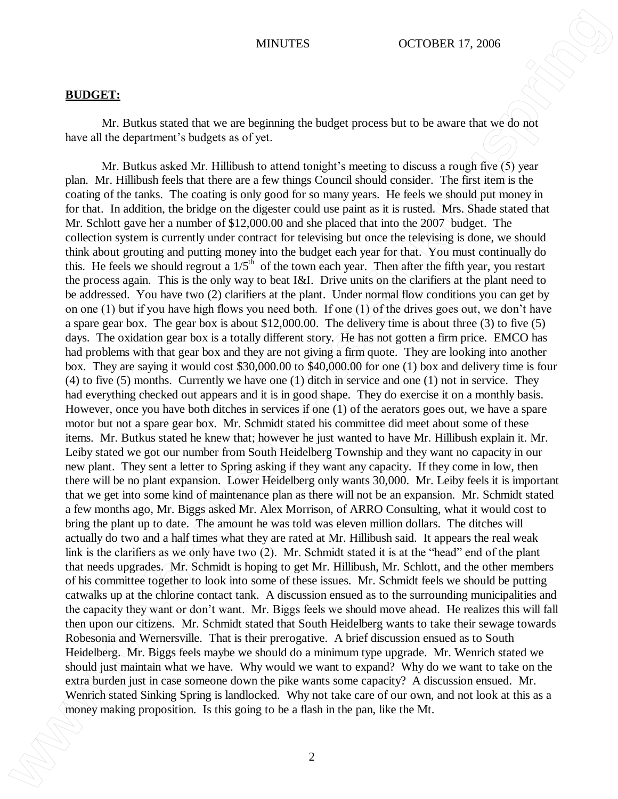### **BUDGET:**

Mr. Butkus stated that we are beginning the budget process but to be aware that we do not have all the department's budgets as of yet.

Mr. Butkus asked Mr. Hillibush to attend tonight's meeting to discuss a rough five (5) year plan. Mr. Hillibush feels that there are a few things Council should consider. The first item is the coating of the tanks. The coating is only good for so many years. He feels we should put money in for that. In addition, the bridge on the digester could use paint as it is rusted. Mrs. Shade stated that Mr. Schlott gave her a number of \$12,000.00 and she placed that into the 2007 budget. The collection system is currently under contract for televising but once the televising is done, we should think about grouting and putting money into the budget each year for that. You must continually do this. He feels we should regrout a  $1/5<sup>th</sup>$  of the town each year. Then after the fifth year, you restart the process again. This is the only way to beat I&I. Drive units on the clarifiers at the plant need to be addressed. You have two (2) clarifiers at the plant. Under normal flow conditions you can get by on one (1) but if you have high flows you need both. If one (1) of the drives goes out, we don't have a spare gear box. The gear box is about \$12,000.00. The delivery time is about three (3) to five (5) days. The oxidation gear box is a totally different story. He has not gotten a firm price. EMCO has had problems with that gear box and they are not giving a firm quote. They are looking into another box. They are saying it would cost \$30,000.00 to \$40,000.00 for one (1) box and delivery time is four (4) to five (5) months. Currently we have one (1) ditch in service and one (1) not in service. They had everything checked out appears and it is in good shape. They do exercise it on a monthly basis. However, once you have both ditches in services if one (1) of the aerators goes out, we have a spare motor but not a spare gear box. Mr. Schmidt stated his committee did meet about some of these items. Mr. Butkus stated he knew that; however he just wanted to have Mr. Hillibush explain it. Mr. Leiby stated we got our number from South Heidelberg Township and they want no capacity in our new plant. They sent a letter to Spring asking if they want any capacity. If they come in low, then there will be no plant expansion. Lower Heidelberg only wants 30,000. Mr. Leiby feels it is important that we get into some kind of maintenance plan as there will not be an expansion. Mr. Schmidt stated a few months ago, Mr. Biggs asked Mr. Alex Morrison, of ARRO Consulting, what it would cost to bring the plant up to date. The amount he was told was eleven million dollars. The ditches will actually do two and a half times what they are rated at Mr. Hillibush said. It appears the real weak link is the clarifiers as we only have two (2). Mr. Schmidt stated it is at the "head" end of the plant that needs upgrades. Mr. Schmidt is hoping to get Mr. Hillibush, Mr. Schlott, and the other members of his committee together to look into some of these issues. Mr. Schmidt feels we should be putting catwalks up at the chlorine contact tank. A discussion ensued as to the surrounding municipalities and the capacity they want or don't want. Mr. Biggs feels we should move ahead. He realizes this will fall then upon our citizens. Mr. Schmidt stated that South Heidelberg wants to take their sewage towards Robesonia and Wernersville. That is their prerogative. A brief discussion ensued as to South Heidelberg. Mr. Biggs feels maybe we should do a minimum type upgrade. Mr. Wenrich stated we should just maintain what we have. Why would we want to expand? Why do we want to take on the extra burden just in case someone down the pike wants some capacity? A discussion ensued. Mr. Wenrich stated Sinking Spring is landlocked. Why not take care of our own, and not look at this as a **MINITES** (DCTOBER 17.006)<br> **MINITES** (New York Distribution of the panel of the panel of the Branchine Constraine Constraine Constraine Constraine Constraine Constraine Constraine Constraine Constraine Constraine Constra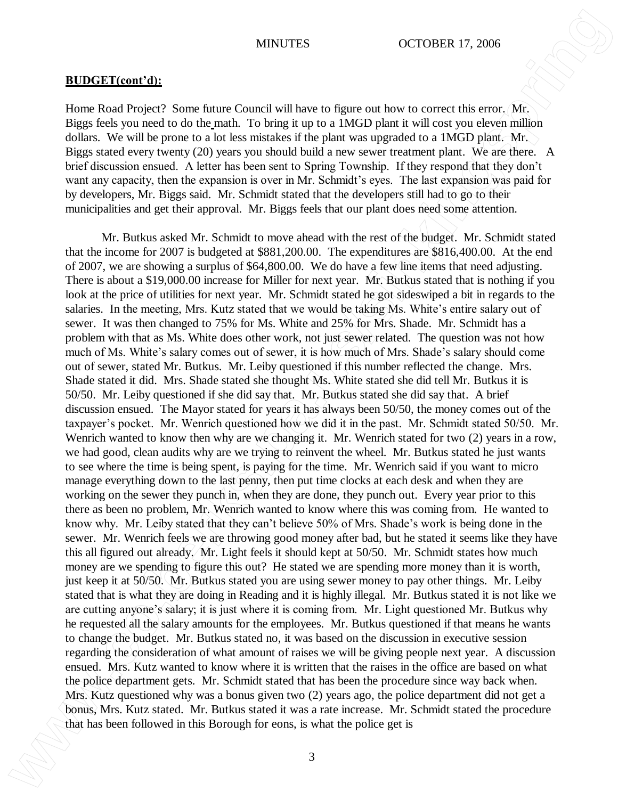## **BUDGET(cont'd):**

Home Road Project? Some future Council will have to figure out how to correct this error. Mr. Biggs feels you need to do the math. To bring it up to a 1MGD plant it will cost you eleven million dollars. We will be prone to a lot less mistakes if the plant was upgraded to a 1MGD plant. Mr. Biggs stated every twenty (20) years you should build a new sewer treatment plant. We are there. A brief discussion ensued. A letter has been sent to Spring Township. If they respond that they don't want any capacity, then the expansion is over in Mr. Schmidt's eyes. The last expansion was paid for by developers, Mr. Biggs said. Mr. Schmidt stated that the developers still had to go to their municipalities and get their approval. Mr. Biggs feels that our plant does need some attention.

Mr. Butkus asked Mr. Schmidt to move ahead with the rest of the budget. Mr. Schmidt stated that the income for 2007 is budgeted at \$881,200.00. The expenditures are \$816,400.00. At the end of 2007, we are showing a surplus of \$64,800.00. We do have a few line items that need adjusting. There is about a \$19,000.00 increase for Miller for next year. Mr. Butkus stated that is nothing if you look at the price of utilities for next year. Mr. Schmidt stated he got sideswiped a bit in regards to the salaries. In the meeting, Mrs. Kutz stated that we would be taking Ms. White's entire salary out of sewer. It was then changed to 75% for Ms. White and 25% for Mrs. Shade. Mr. Schmidt has a problem with that as Ms. White does other work, not just sewer related. The question was not how much of Ms. White's salary comes out of sewer, it is how much of Mrs. Shade's salary should come out of sewer, stated Mr. Butkus. Mr. Leiby questioned if this number reflected the change. Mrs. Shade stated it did. Mrs. Shade stated she thought Ms. White stated she did tell Mr. Butkus it is 50/50. Mr. Leiby questioned if she did say that. Mr. Butkus stated she did say that. A brief discussion ensued. The Mayor stated for years it has always been 50/50, the money comes out of the taxpayer's pocket. Mr. Wenrich questioned how we did it in the past. Mr. Schmidt stated 50/50. Mr. Wenrich wanted to know then why are we changing it. Mr. Wenrich stated for two  $(2)$  years in a row, we had good, clean audits why are we trying to reinvent the wheel. Mr. Butkus stated he just wants to see where the time is being spent, is paying for the time. Mr. Wenrich said if you want to micro manage everything down to the last penny, then put time clocks at each desk and when they are working on the sewer they punch in, when they are done, they punch out. Every year prior to this there as been no problem, Mr. Wenrich wanted to know where this was coming from. He wanted to know why. Mr. Leiby stated that they can't believe 50% of Mrs. Shade's work is being done in the sewer. Mr. Wenrich feels we are throwing good money after bad, but he stated it seems like they have this all figured out already. Mr. Light feels it should kept at 50/50. Mr. Schmidt states how much money are we spending to figure this out? He stated we are spending more money than it is worth, just keep it at 50/50. Mr. Butkus stated you are using sewer money to pay other things. Mr. Leiby stated that is what they are doing in Reading and it is highly illegal. Mr. Butkus stated it is not like we are cutting anyone's salary; it is just where it is coming from. Mr. Light questioned Mr. Butkus why he requested all the salary amounts for the employees. Mr. Butkus questioned if that means he wants to change the budget. Mr. Butkus stated no, it was based on the discussion in executive session regarding the consideration of what amount of raises we will be giving people next year. A discussion ensued. Mrs. Kutz wanted to know where it is written that the raises in the office are based on what the police department gets. Mr. Schmidt stated that has been the procedure since way back when. Mrs. Kutz questioned why was a bonus given two (2) years ago, the police department did not get a bonus, Mrs. Kutz stated. Mr. Butkus stated it was a rate increase. Mr. Schmidt stated the procedure **EVERY EXCOMPLE TOWATERS** (DCTOFIER S) (DCTOFIER E). 2006<br>
Hence fools frequencies of the police get is a model of the police get is a model of the police get is a model of the police get is a model of the police get is a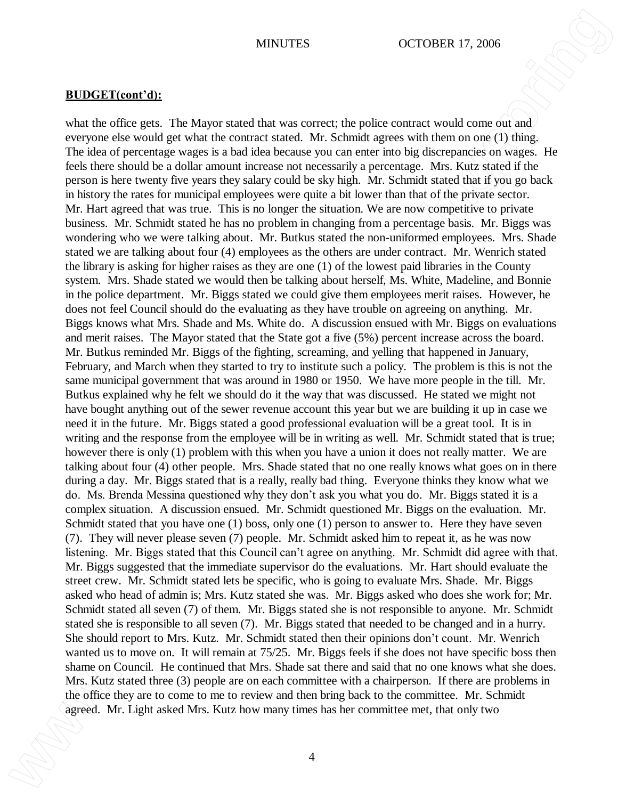## **BUDGET(cont'd):**

what the office gets. The Mayor stated that was correct; the police contract would come out and everyone else would get what the contract stated. Mr. Schmidt agrees with them on one (1) thing. The idea of percentage wages is a bad idea because you can enter into big discrepancies on wages. He feels there should be a dollar amount increase not necessarily a percentage. Mrs. Kutz stated if the person is here twenty five years they salary could be sky high. Mr. Schmidt stated that if you go back in history the rates for municipal employees were quite a bit lower than that of the private sector. Mr. Hart agreed that was true. This is no longer the situation. We are now competitive to private business. Mr. Schmidt stated he has no problem in changing from a percentage basis. Mr. Biggs was wondering who we were talking about. Mr. Butkus stated the non-uniformed employees. Mrs. Shade stated we are talking about four (4) employees as the others are under contract. Mr. Wenrich stated the library is asking for higher raises as they are one (1) of the lowest paid libraries in the County system. Mrs. Shade stated we would then be talking about herself, Ms. White, Madeline, and Bonnie in the police department. Mr. Biggs stated we could give them employees merit raises. However, he does not feel Council should do the evaluating as they have trouble on agreeing on anything. Mr. Biggs knows what Mrs. Shade and Ms. White do. A discussion ensued with Mr. Biggs on evaluations and merit raises. The Mayor stated that the State got a five (5%) percent increase across the board. Mr. Butkus reminded Mr. Biggs of the fighting, screaming, and yelling that happened in January, February, and March when they started to try to institute such a policy. The problem is this is not the same municipal government that was around in 1980 or 1950. We have more people in the till. Mr. Butkus explained why he felt we should do it the way that was discussed. He stated we might not have bought anything out of the sewer revenue account this year but we are building it up in case we need it in the future. Mr. Biggs stated a good professional evaluation will be a great tool. It is in writing and the response from the employee will be in writing as well. Mr. Schmidt stated that is true; however there is only (1) problem with this when you have a union it does not really matter. We are talking about four (4) other people. Mrs. Shade stated that no one really knows what goes on in there during a day. Mr. Biggs stated that is a really, really bad thing. Everyone thinks they know what we do. Ms. Brenda Messina questioned why they don't ask you what you do. Mr. Biggs stated it is a complex situation. A discussion ensued. Mr. Schmidt questioned Mr. Biggs on the evaluation. Mr. Schmidt stated that you have one (1) boss, only one (1) person to answer to. Here they have seven (7). They will never please seven (7) people. Mr. Schmidt asked him to repeat it, as he was now listening. Mr. Biggs stated that this Council can't agree on anything. Mr. Schmidt did agree with that. Mr. Biggs suggested that the immediate supervisor do the evaluations. Mr. Hart should evaluate the street crew. Mr. Schmidt stated lets be specific, who is going to evaluate Mrs. Shade. Mr. Biggs asked who head of admin is; Mrs. Kutz stated she was. Mr. Biggs asked who does she work for; Mr. Schmidt stated all seven (7) of them. Mr. Biggs stated she is not responsible to anyone. Mr. Schmidt stated she is responsible to all seven (7). Mr. Biggs stated that needed to be changed and in a hurry. She should report to Mrs. Kutz. Mr. Schmidt stated then their opinions don't count. Mr. Wenrich wanted us to move on. It will remain at 75/25. Mr. Biggs feels if she does not have specific boss then shame on Council. He continued that Mrs. Shade sat there and said that no one knows what she does. Mrs. Kutz stated three (3) people are on each committee with a chairperson. If there are problems in the office they are to come to me to review and then bring back to the committee. Mr. Schmidt **MINOTEES**<br> **SHOTE CONFIGURE TO CONFIGURE TO CONFIGURE TO CONFIGURE TO A CONFIGURE TO A CONFIGURE TO A CONFIGURE TO A CONFIGURE TO A CONFIGURE TO A CONFIGURE TO A CONFIGURE TO A CONFIGURE TO A CONFIGURE TO A CONFIGURE TO**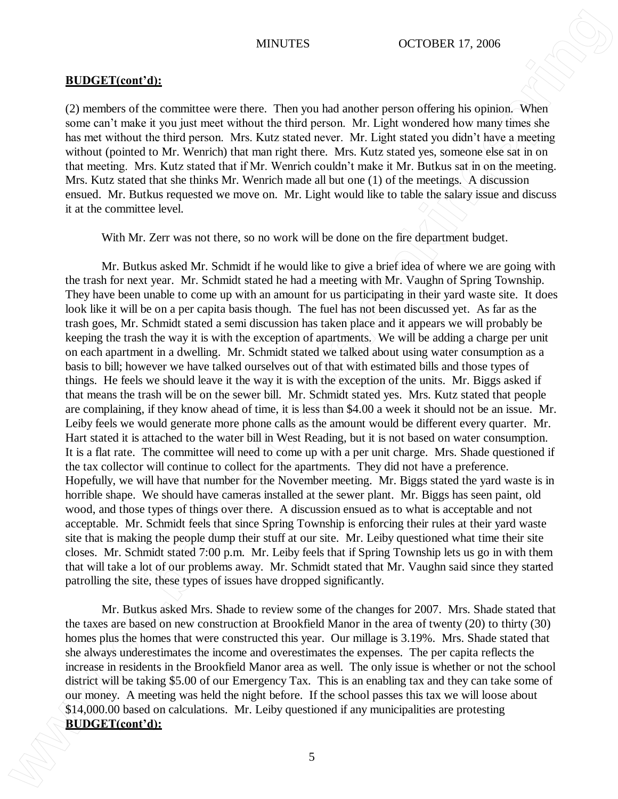## **BUDGET(cont'd):**

(2) members of the committee were there. Then you had another person offering his opinion. When some can't make it you just meet without the third person. Mr. Light wondered how many times she has met without the third person. Mrs. Kutz stated never. Mr. Light stated you didn't have a meeting without (pointed to Mr. Wenrich) that man right there. Mrs. Kutz stated yes, someone else sat in on that meeting. Mrs. Kutz stated that if Mr. Wenrich couldn't make it Mr. Butkus sat in on the meeting. Mrs. Kutz stated that she thinks Mr. Wenrich made all but one  $(1)$  of the meetings. A discussion ensued. Mr. Butkus requested we move on. Mr. Light would like to table the salary issue and discuss it at the committee level.

With Mr. Zerr was not there, so no work will be done on the fire department budget.

Mr. Butkus asked Mr. Schmidt if he would like to give a brief idea of where we are going with the trash for next year. Mr. Schmidt stated he had a meeting with Mr. Vaughn of Spring Township. They have been unable to come up with an amount for us participating in their yard waste site. It does look like it will be on a per capita basis though. The fuel has not been discussed yet. As far as the trash goes, Mr. Schmidt stated a semi discussion has taken place and it appears we will probably be keeping the trash the way it is with the exception of apartments. We will be adding a charge per unit on each apartment in a dwelling. Mr. Schmidt stated we talked about using water consumption as a basis to bill; however we have talked ourselves out of that with estimated bills and those types of things. He feels we should leave it the way it is with the exception of the units. Mr. Biggs asked if that means the trash will be on the sewer bill. Mr. Schmidt stated yes. Mrs. Kutz stated that people are complaining, if they know ahead of time, it is less than \$4.00 a week it should not be an issue. Mr. Leiby feels we would generate more phone calls as the amount would be different every quarter. Mr. Hart stated it is attached to the water bill in West Reading, but it is not based on water consumption. It is a flat rate. The committee will need to come up with a per unit charge. Mrs. Shade questioned if the tax collector will continue to collect for the apartments. They did not have a preference. Hopefully, we will have that number for the November meeting. Mr. Biggs stated the yard waste is in horrible shape. We should have cameras installed at the sewer plant. Mr. Biggs has seen paint, old wood, and those types of things over there. A discussion ensued as to what is acceptable and not acceptable. Mr. Schmidt feels that since Spring Township is enforcing their rules at their yard waste site that is making the people dump their stuff at our site. Mr. Leiby questioned what time their site closes. Mr. Schmidt stated 7:00 p.m. Mr. Leiby feels that if Spring Township lets us go in with them that will take a lot of our problems away. Mr. Schmidt stated that Mr. Vaughn said since they started patrolling the site, these types of issues have dropped significantly. **BUDGET(cont'd):**<br>**BUDGET(cont'd):**<br>**BUDGET(cont'd):**<br>**C**) are move on the consistency were these than the stationary of the system of the system of the system of the system of the system of the system of the system of th

Mr. Butkus asked Mrs. Shade to review some of the changes for 2007. Mrs. Shade stated that the taxes are based on new construction at Brookfield Manor in the area of twenty (20) to thirty (30) homes plus the homes that were constructed this year. Our millage is 3.19%. Mrs. Shade stated that she always underestimates the income and overestimates the expenses. The per capita reflects the increase in residents in the Brookfield Manor area as well. The only issue is whether or not the school district will be taking \$5.00 of our Emergency Tax. This is an enabling tax and they can take some of our money. A meeting was held the night before. If the school passes this tax we will loose about \$14,000.00 based on calculations. Mr. Leiby questioned if any municipalities are protesting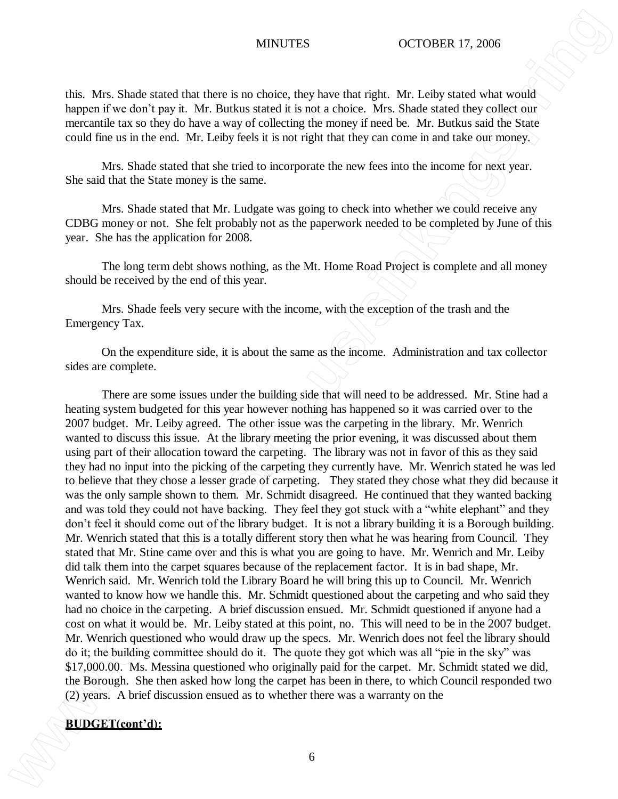this. Mrs. Shade stated that there is no choice, they have that right. Mr. Leiby stated what would happen if we don't pay it. Mr. Butkus stated it is not a choice. Mrs. Shade stated they collect our mercantile tax so they do have a way of collecting the money if need be. Mr. Butkus said the State could fine us in the end. Mr. Leiby feels it is not right that they can come in and take our money.

Mrs. Shade stated that she tried to incorporate the new fees into the income for next year. She said that the State money is the same.

Mrs. Shade stated that Mr. Ludgate was going to check into whether we could receive any CDBG money or not. She felt probably not as the paperwork needed to be completed by June of this year. She has the application for 2008.

The long term debt shows nothing, as the Mt. Home Road Project is complete and all money should be received by the end of this year.

Mrs. Shade feels very secure with the income, with the exception of the trash and the Emergency Tax.

On the expenditure side, it is about the same as the income. Administration and tax collector sides are complete.

There are some issues under the building side that will need to be addressed. Mr. Stine had a heating system budgeted for this year however nothing has happened so it was carried over to the 2007 budget. Mr. Leiby agreed. The other issue was the carpeting in the library. Mr. Wenrich wanted to discuss this issue. At the library meeting the prior evening, it was discussed about them using part of their allocation toward the carpeting. The library was not in favor of this as they said they had no input into the picking of the carpeting they currently have. Mr. Wenrich stated he was led to believe that they chose a lesser grade of carpeting. They stated they chose what they did because it was the only sample shown to them. Mr. Schmidt disagreed. He continued that they wanted backing and was told they could not have backing. They feel they got stuck with a "white elephant" and they don't feel it should come out of the library budget. It is not a library building it is a Borough building. Mr. Wenrich stated that this is a totally different story then what he was hearing from Council. They stated that Mr. Stine came over and this is what you are going to have. Mr. Wenrich and Mr. Leiby did talk them into the carpet squares because of the replacement factor. It is in bad shape, Mr. Wenrich said. Mr. Wenrich told the Library Board he will bring this up to Council. Mr. Wenrich wanted to know how we handle this. Mr. Schmidt questioned about the carpeting and who said they had no choice in the carpeting. A brief discussion ensued. Mr. Schmidt questioned if anyone had a cost on what it would be. Mr. Leiby stated at this point, no. This will need to be in the 2007 budget. Mr. Wenrich questioned who would draw up the specs. Mr. Wenrich does not feel the library should do it; the building committee should do it. The quote they got which was all "pie in the sky" was \$17,000.00. Ms. Messina questioned who originally paid for the carpet. Mr. Schmidt stated we did, the Borough. She then asked how long the carpet has been in there, to which Council responded two (2) years. A brief discussion ensued as to whether there was a warranty on the **BUSCUPS**<br> **BUSCUPS**<br> **BUSCUPS**<br> **BUSCUPS**<br> **BUSCUPS**<br> **BUSCUPS**<br> **BUSCUPS**<br> **BUSCUPS**<br> **BUSCUPS**<br> **BUSCUPS**<br> **BUSCUPS**<br> **BUSCUPS**<br> **BUSCUPS**<br> **BUSCUPS**<br> **BUSCUPS**<br> **BUSCUPS**<br> **BUSCUPS**<br> **BUSCUPS**<br> **BUSCUPS**<br> **BUSCUPS**<br> **B**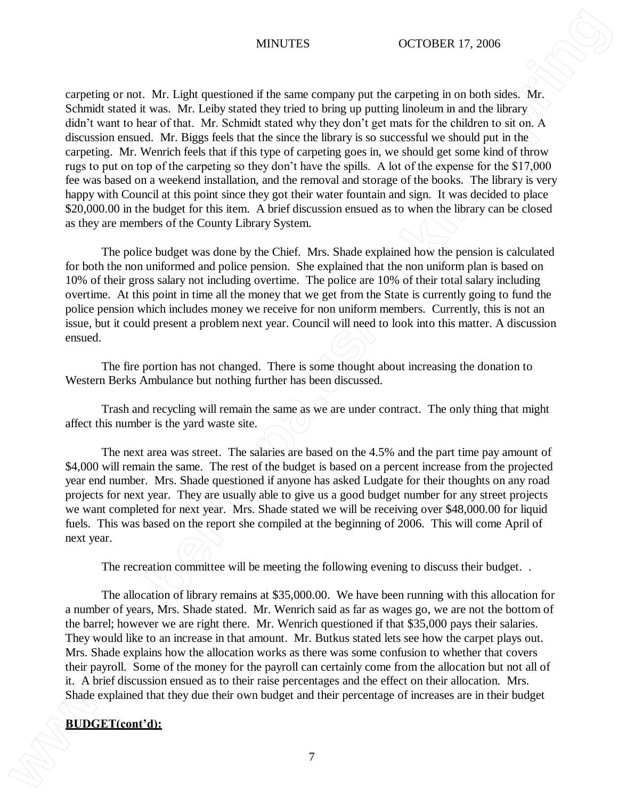carpeting or not. Mr. Light questioned if the same company put the carpeting in on both sides. Mr. Schmidt stated it was. Mr. Leiby stated they tried to bring up putting linoleum in and the library didn't want to hear of that. Mr. Schmidt stated why they don't get mats for the children to sit on. A discussion ensued. Mr. Biggs feels that the since the library is so successful we should put in the carpeting. Mr. Wenrich feels that if this type of carpeting goes in, we should get some kind of throw rugs to put on top of the carpeting so they don't have the spills. A lot of the expense for the \$17,000 fee was based on a weekend installation, and the removal and storage of the books. The library is very happy with Council at this point since they got their water fountain and sign. It was decided to place \$20,000.00 in the budget for this item. A brief discussion ensued as to when the library can be closed as they are members of the County Library System. **BUDGETS**<br> **BUDGETS**<br> **BUDGETS**<br> **BUDGETS**<br> **BUDGETS**<br> **BUDGETS**<br> **BUDGETS**<br> **BUDGETS**<br> **BUDGETS**<br> **BUDGETS**<br> **BUDGETS**<br> **BUDGETS**<br> **BUDGETS**<br> **BUDGETS**<br> **BUDGETS**<br> **BUDGETS**<br> **BUDGETS**<br> **BUDGETS**<br> **BUDGETS**<br> **BUDGETS**<br>

The police budget was done by the Chief. Mrs. Shade explained how the pension is calculated for both the non uniformed and police pension. She explained that the non uniform plan is based on 10% of their gross salary not including overtime. The police are 10% of their total salary including overtime. At this point in time all the money that we get from the State is currently going to fund the police pension which includes money we receive for non uniform members. Currently, this is not an issue, but it could present a problem next year. Council will need to look into this matter. A discussion ensued.

The fire portion has not changed. There is some thought about increasing the donation to Western Berks Ambulance but nothing further has been discussed.

Trash and recycling will remain the same as we are under contract. The only thing that might affect this number is the yard waste site.

The next area was street. The salaries are based on the 4.5% and the part time pay amount of \$4,000 will remain the same. The rest of the budget is based on a percent increase from the projected year end number. Mrs. Shade questioned if anyone has asked Ludgate for their thoughts on any road projects for next year. They are usually able to give us a good budget number for any street projects we want completed for next year. Mrs. Shade stated we will be receiving over \$48,000.00 for liquid fuels. This was based on the report she compiled at the beginning of 2006. This will come April of next year.

The recreation committee will be meeting the following evening to discuss their budget. .

The allocation of library remains at \$35,000.00. We have been running with this allocation for a number of years, Mrs. Shade stated. Mr. Wenrich said as far as wages go, we are not the bottom of the barrel; however we are right there. Mr. Wenrich questioned if that \$35,000 pays their salaries. They would like to an increase in that amount. Mr. Butkus stated lets see how the carpet plays out. Mrs. Shade explains how the allocation works as there was some confusion to whether that covers their payroll. Some of the money for the payroll can certainly come from the allocation but not all of it. A brief discussion ensued as to their raise percentages and the effect on their allocation. Mrs. Shade explained that they due their own budget and their percentage of increases are in their budget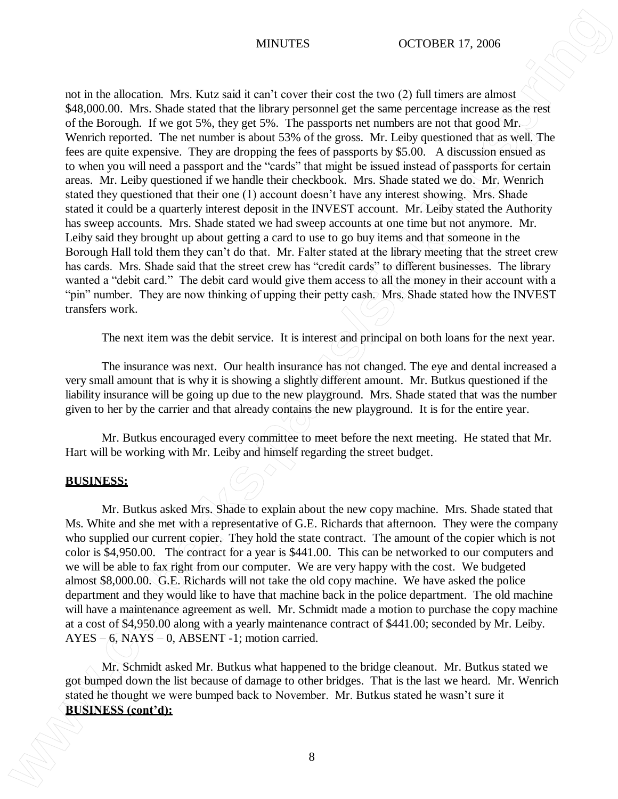### MINUTES OCTOBER 17, 2006

not in the allocation. Mrs. Kutz said it can't cover their cost the two (2) full timers are almost \$48,000.00. Mrs. Shade stated that the library personnel get the same percentage increase as the rest of the Borough. If we got 5%, they get 5%. The passports net numbers are not that good Mr. Wenrich reported. The net number is about 53% of the gross. Mr. Leiby questioned that as well. The fees are quite expensive. They are dropping the fees of passports by \$5.00. A discussion ensued as to when you will need a passport and the "cards" that might be issued instead of passports for certain areas. Mr. Leiby questioned if we handle their checkbook. Mrs. Shade stated we do. Mr. Wenrich stated they questioned that their one (1) account doesn't have any interest showing. Mrs. Shade stated it could be a quarterly interest deposit in the INVEST account. Mr. Leiby stated the Authority has sweep accounts. Mrs. Shade stated we had sweep accounts at one time but not anymore. Mr. Leiby said they brought up about getting a card to use to go buy items and that someone in the Borough Hall told them they can't do that. Mr. Falter stated at the library meeting that the street crew has cards. Mrs. Shade said that the street crew has "credit cards" to different businesses. The library wanted a "debit card." The debit card would give them access to all the money in their account with a "pin" number. They are now thinking of upping their petty cash. Mrs. Shade stated how the INVEST transfers work. **BUSINESS** (**BUSINESS** (**BUSINESS** (**BUSINESS** (**BUSINESS** (**BUSINESS** (**BUSINESS** (**BUSINESS** (**BUSINESS** (**BUSINESS** (**BUSINESS** (**BUSINESS** (**BUSINESS** (**BUSINESS** (**BUSINESS** (**BUSINESS** (**BUSINESS** (**BUSINESS** (**BUSIN** 

The next item was the debit service. It is interest and principal on both loans for the next year.

The insurance was next. Our health insurance has not changed. The eye and dental increased a very small amount that is why it is showing a slightly different amount. Mr. Butkus questioned if the liability insurance will be going up due to the new playground. Mrs. Shade stated that was the number given to her by the carrier and that already contains the new playground. It is for the entire year.

Mr. Butkus encouraged every committee to meet before the next meeting. He stated that Mr. Hart will be working with Mr. Leiby and himself regarding the street budget.

### **BUSINESS:**

Mr. Butkus asked Mrs. Shade to explain about the new copy machine. Mrs. Shade stated that Ms. White and she met with a representative of G.E. Richards that afternoon. They were the company who supplied our current copier. They hold the state contract. The amount of the copier which is not color is \$4,950.00. The contract for a year is \$441.00. This can be networked to our computers and we will be able to fax right from our computer. We are very happy with the cost. We budgeted almost \$8,000.00. G.E. Richards will not take the old copy machine. We have asked the police department and they would like to have that machine back in the police department. The old machine will have a maintenance agreement as well. Mr. Schmidt made a motion to purchase the copy machine at a cost of \$4,950.00 along with a yearly maintenance contract of \$441.00; seconded by Mr. Leiby.  $AYES - 6$ ,  $NAYS - 0$ , ABSENT -1; motion carried.

Mr. Schmidt asked Mr. Butkus what happened to the bridge cleanout. Mr. Butkus stated we got bumped down the list because of damage to other bridges. That is the last we heard. Mr. Wenrich stated he thought we were bumped back to November. Mr. Butkus stated he wasn't sure it

8